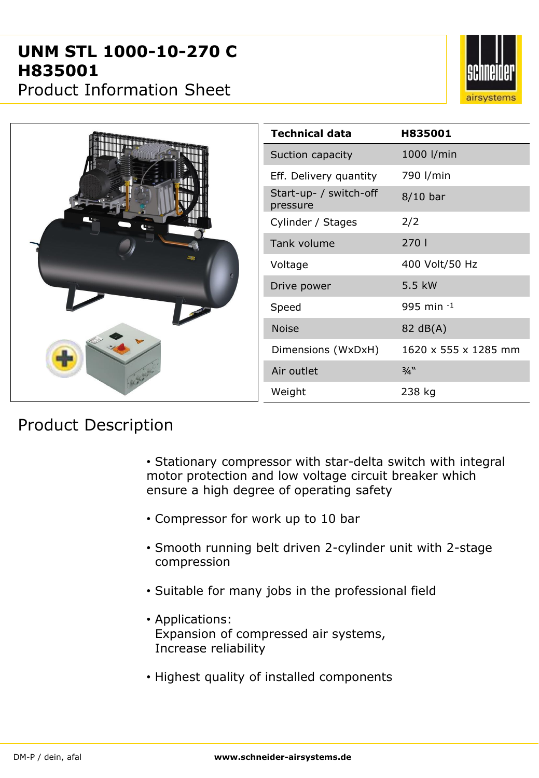## **UNM STL 1000-10-270 C H835001**



Product Information Sheet

|  | <b>Technical data</b>              | H835001              |
|--|------------------------------------|----------------------|
|  | Suction capacity                   | 1000 l/min           |
|  | Eff. Delivery quantity             | 790 l/min            |
|  | Start-up- / switch-off<br>pressure | $8/10$ bar           |
|  | Cylinder / Stages                  | 2/2                  |
|  | Tank volume                        | 270                  |
|  | Voltage                            | 400 Volt/50 Hz       |
|  | Drive power                        | 5.5 kW               |
|  | Speed                              | 995 min $^{-1}$      |
|  | <b>Noise</b>                       | 82 dB(A)             |
|  | Dimensions (WxDxH)                 | 1620 x 555 x 1285 mm |
|  | Air outlet                         | 3/4"                 |
|  | Weight                             | 238 kg               |

## Product Description

• Stationary compressor with star-delta switch with integral motor protection and low voltage circuit breaker which ensure a high degree of operating safety

- Compressor for work up to 10 bar
- Smooth running belt driven 2-cylinder unit with 2-stage compression
- Suitable for many jobs in the professional field
- Applications: Expansion of compressed air systems, Increase reliability
- Highest quality of installed components